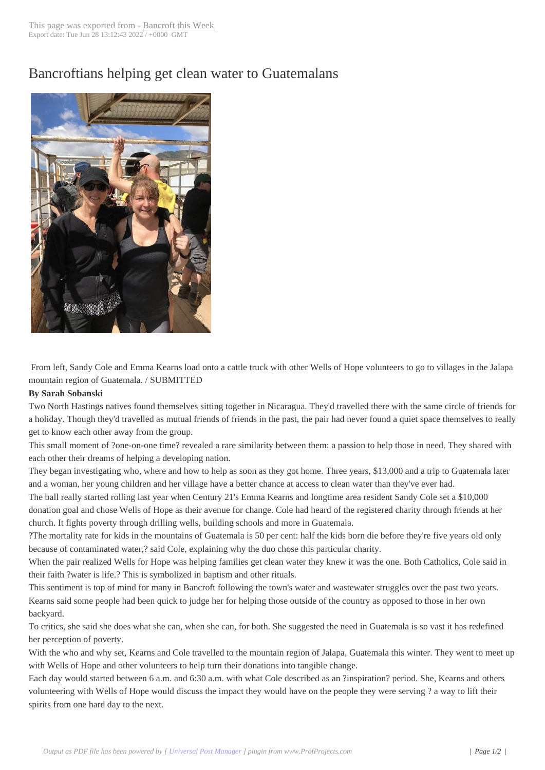## Bancroftians helpi[ng get clean w](http://www.bancroftthisweek.com/?p=8835)ater to Guatemalans



From left, Sandy Cole and Emma Kearns load onto a cattle truck with other Wells of Hope volunteers to go to villages in the Jalapa mountain region of Guatemala. / SUBMITTED

## **By Sarah Sobanski**

Two North Hastings natives found themselves sitting together in Nicaragua. They'd travelled there with the same circle of friends for a holiday. Though they'd travelled as mutual friends of friends in the past, the pair had never found a quiet space themselves to really get to know each other away from the group.

This small moment of ?one-on-one time? revealed a rare similarity between them: a passion to help those in need. They shared with each other their dreams of helping a developing nation.

They began investigating who, where and how to help as soon as they got home. Three years, \$13,000 and a trip to Guatemala later and a woman, her young children and her village have a better chance at access to clean water than they've ever had.

The ball really started rolling last year when Century 21's Emma Kearns and longtime area resident Sandy Cole set a \$10,000 donation goal and chose Wells of Hope as their avenue for change. Cole had heard of the registered charity through friends at her church. It fights poverty through drilling wells, building schools and more in Guatemala.

?The mortality rate for kids in the mountains of Guatemala is 50 per cent: half the kids born die before they're five years old only because of contaminated water,? said Cole, explaining why the duo chose this particular charity.

When the pair realized Wells for Hope was helping families get clean water they knew it was the one. Both Catholics, Cole said in their faith ?water is life.? This is symbolized in baptism and other rituals.

This sentiment is top of mind for many in Bancroft following the town's water and wastewater struggles over the past two years. Kearns said some people had been quick to judge her for helping those outside of the country as opposed to those in her own backyard.

To critics, she said she does what she can, when she can, for both. She suggested the need in Guatemala is so vast it has redefined her perception of poverty.

With the who and why set, Kearns and Cole travelled to the mountain region of Jalapa, Guatemala this winter. They went to meet up with Wells of Hope and other volunteers to help turn their donations into tangible change.

Each day would started between 6 a.m. and 6:30 a.m. with what Cole described as an ?inspiration? period. She, Kearns and others volunteering with Wells of Hope would discuss the impact they would have on the people they were serving ? a way to lift their spirits from one hard day to the next.